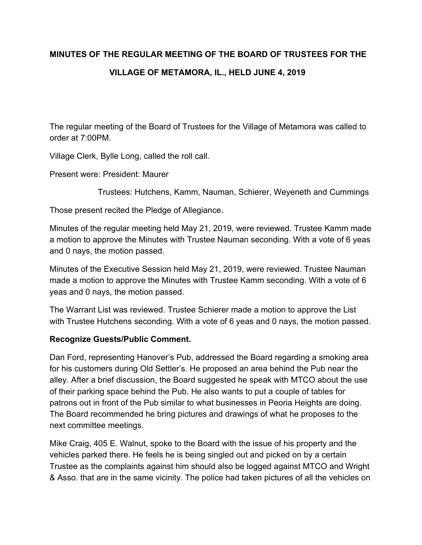# **MINUTES OF THE REGULAR MEETING OF THE BOARD OF TRUSTEES FOR THE VILLAGE OF METAMORA, IL., HELD JUNE 4, 2019**

The regular meeting of the Board of Trustees for the Village of Metamora was called to order at 7:00PM.

Village Clerk, Bylle Long, called the roll call.

Present were: President: Maurer

Trustees: Hutchens, Kamm, Nauman, Schierer, Weyeneth and Cummings

Those present recited the Pledge of Allegiance.

Minutes of the regular meeting held May 21, 2019, were reviewed. Trustee Kamm made a motion to approve the Minutes with Trustee Nauman seconding. With a vote of 6 yeas and 0 nays, the motion passed.

Minutes of the Executive Session held May 21, 2019, were reviewed. Trustee Nauman made a motion to approve the Minutes with Trustee Kamm seconding. With a vote of 6 yeas and 0 nays, the motion passed.

The Warrant List was reviewed. Trustee Schierer made a motion to approve the List with Trustee Hutchens seconding. With a vote of 6 yeas and 0 nays, the motion passed.

# **Recognize Guests/Public Comment.**

Dan Ford, representing Hanover's Pub, addressed the Board regarding a smoking area for his customers during Old Settler's. He proposed an area behind the Pub near the alley. After a brief discussion, the Board suggested he speak with MTCO about the use of their parking space behind the Pub. He also wants to put a couple of tables for patrons out in front of the Pub similar to what businesses in Peoria Heights are doing. The Board recommended he bring pictures and drawings of what he proposes to the next committee meetings.

Mike Craig, 405 E. Walnut, spoke to the Board with the issue of his property and the vehicles parked there. He feels he is being singled out and picked on by a certain Trustee as the complaints against him should also be logged against MTCO and Wright & Asso. that are in the same vicinity. The police had taken pictures of all the vehicles on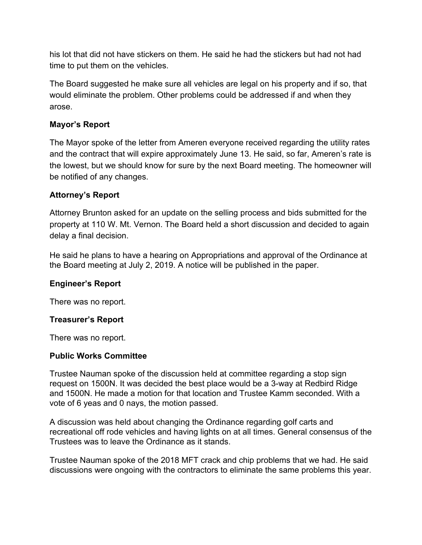his lot that did not have stickers on them. He said he had the stickers but had not had time to put them on the vehicles.

The Board suggested he make sure all vehicles are legal on his property and if so, that would eliminate the problem. Other problems could be addressed if and when they arose.

# **Mayor's Report**

The Mayor spoke of the letter from Ameren everyone received regarding the utility rates and the contract that will expire approximately June 13. He said, so far, Ameren's rate is the lowest, but we should know for sure by the next Board meeting. The homeowner will be notified of any changes.

# **Attorney's Report**

Attorney Brunton asked for an update on the selling process and bids submitted for the property at 110 W. Mt. Vernon. The Board held a short discussion and decided to again delay a final decision.

He said he plans to have a hearing on Appropriations and approval of the Ordinance at the Board meeting at July 2, 2019. A notice will be published in the paper.

# **Engineer's Report**

There was no report.

## **Treasurer's Report**

There was no report.

## **Public Works Committee**

Trustee Nauman spoke of the discussion held at committee regarding a stop sign request on 1500N. It was decided the best place would be a 3-way at Redbird Ridge and 1500N. He made a motion for that location and Trustee Kamm seconded. With a vote of 6 yeas and 0 nays, the motion passed.

A discussion was held about changing the Ordinance regarding golf carts and recreational off rode vehicles and having lights on at all times. General consensus of the Trustees was to leave the Ordinance as it stands.

Trustee Nauman spoke of the 2018 MFT crack and chip problems that we had. He said discussions were ongoing with the contractors to eliminate the same problems this year.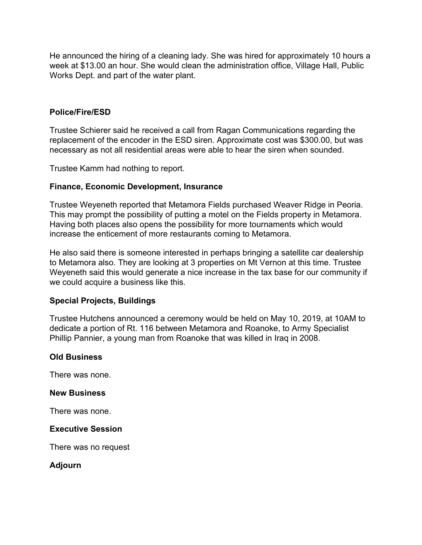He announced the hiring of a cleaning lady. She was hired for approximately 10 hours a week at \$13.00 an hour. She would clean the administration office, Village Hall, Public Works Dept. and part of the water plant.

#### **Police/Fire/ESD**

Trustee Schierer said he received a call from Ragan Communications regarding the replacement of the encoder in the ESD siren. Approximate cost was \$300.00, but was necessary as not all residential areas were able to hear the siren when sounded.

Trustee Kamm had nothing to report.

#### **Finance, Economic Development, Insurance**

Trustee Weyeneth reported that Metamora Fields purchased Weaver Ridge in Peoria. This may prompt the possibility of putting a motel on the Fields property in Metamora. Having both places also opens the possibility for more tournaments which would increase the enticement of more restaurants coming to Metamora.

He also said there is someone interested in perhaps bringing a satellite car dealership to Metamora also. They are looking at 3 properties on Mt Vernon at this time. Trustee Weyeneth said this would generate a nice increase in the tax base for our community if we could acquire a business like this.

#### **Special Projects, Buildings**

Trustee Hutchens announced a ceremony would be held on May 10, 2019, at 10AM to dedicate a portion of Rt. 116 between Metamora and Roanoke, to Army Specialist Phillip Pannier, a young man from Roanoke that was killed in Iraq in 2008.

## **Old Business**

There was none.

#### **New Business**

There was none.

#### **Executive Session**

There was no request

#### **Adjourn**